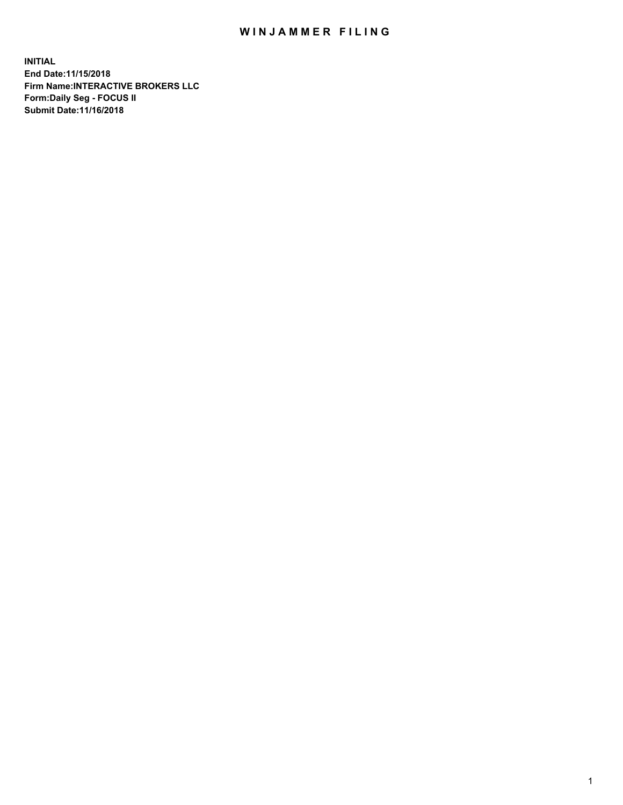## WIN JAMMER FILING

**INITIAL End Date:11/15/2018 Firm Name:INTERACTIVE BROKERS LLC Form:Daily Seg - FOCUS II Submit Date:11/16/2018**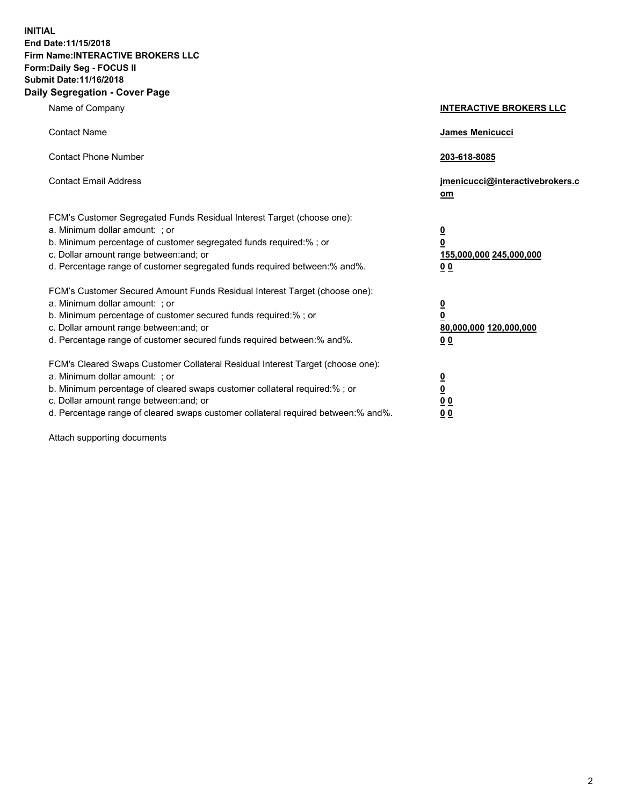**INITIAL End Date:11/15/2018 Firm Name:INTERACTIVE BROKERS LLC Form:Daily Seg - FOCUS II Submit Date:11/16/2018 Daily Segregation - Cover Page**

| Name of Company                                                                                                                                                                                                                                                                                                                | <b>INTERACTIVE BROKERS LLC</b>                                                                  |
|--------------------------------------------------------------------------------------------------------------------------------------------------------------------------------------------------------------------------------------------------------------------------------------------------------------------------------|-------------------------------------------------------------------------------------------------|
| <b>Contact Name</b>                                                                                                                                                                                                                                                                                                            | James Menicucci                                                                                 |
| <b>Contact Phone Number</b>                                                                                                                                                                                                                                                                                                    | 203-618-8085                                                                                    |
| <b>Contact Email Address</b>                                                                                                                                                                                                                                                                                                   | jmenicucci@interactivebrokers.c<br>om                                                           |
| FCM's Customer Segregated Funds Residual Interest Target (choose one):<br>a. Minimum dollar amount: ; or<br>b. Minimum percentage of customer segregated funds required:%; or<br>c. Dollar amount range between: and; or<br>d. Percentage range of customer segregated funds required between:% and%.                          | $\overline{\mathbf{0}}$<br>$\overline{\mathbf{0}}$<br>155,000,000 245,000,000<br>0 <sub>0</sub> |
| FCM's Customer Secured Amount Funds Residual Interest Target (choose one):<br>a. Minimum dollar amount: ; or<br>b. Minimum percentage of customer secured funds required:% ; or<br>c. Dollar amount range between: and; or<br>d. Percentage range of customer secured funds required between:% and%.                           | $\overline{\mathbf{0}}$<br>$\overline{\mathbf{0}}$<br>80,000,000 120,000,000<br>0 <sub>0</sub>  |
| FCM's Cleared Swaps Customer Collateral Residual Interest Target (choose one):<br>a. Minimum dollar amount: ; or<br>b. Minimum percentage of cleared swaps customer collateral required:% ; or<br>c. Dollar amount range between: and; or<br>d. Percentage range of cleared swaps customer collateral required between:% and%. | $\overline{\mathbf{0}}$<br>$\underline{\mathbf{0}}$<br>0 <sub>0</sub><br>0 <sub>0</sub>         |

Attach supporting documents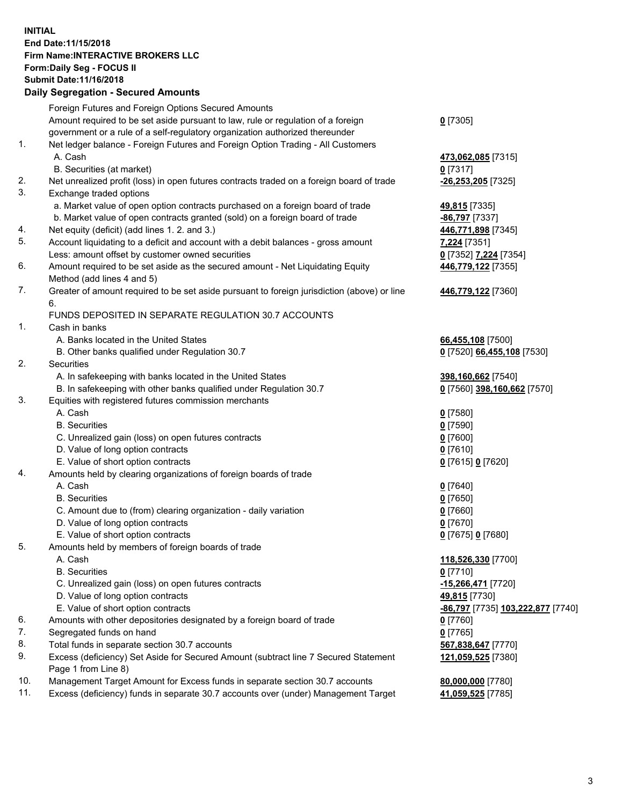## **INITIAL End Date:11/15/2018 Firm Name:INTERACTIVE BROKERS LLC Form:Daily Seg - FOCUS II Submit Date:11/16/2018 Daily Segregation - Secured Amounts**

|     | Daily Segregation - Secured Amounts                                                         |                                                 |
|-----|---------------------------------------------------------------------------------------------|-------------------------------------------------|
|     | Foreign Futures and Foreign Options Secured Amounts                                         |                                                 |
|     | Amount required to be set aside pursuant to law, rule or regulation of a foreign            | $0$ [7305]                                      |
|     | government or a rule of a self-regulatory organization authorized thereunder                |                                                 |
| 1.  | Net ledger balance - Foreign Futures and Foreign Option Trading - All Customers             |                                                 |
|     | A. Cash                                                                                     | 473,062,085 [7315]                              |
|     | B. Securities (at market)                                                                   | $0$ [7317]                                      |
| 2.  | Net unrealized profit (loss) in open futures contracts traded on a foreign board of trade   | $-26,253,205$ [7325]                            |
| 3.  | Exchange traded options                                                                     |                                                 |
|     | a. Market value of open option contracts purchased on a foreign board of trade              | 49,815 [7335]                                   |
|     | b. Market value of open contracts granted (sold) on a foreign board of trade                | -86,797 [7337]                                  |
| 4.  | Net equity (deficit) (add lines 1. 2. and 3.)                                               | 446,771,898 [7345]                              |
| 5.  | Account liquidating to a deficit and account with a debit balances - gross amount           | 7,224 [7351]                                    |
|     | Less: amount offset by customer owned securities                                            | 0 [7352] 7,224 [7354]                           |
| 6.  | Amount required to be set aside as the secured amount - Net Liquidating Equity              | 446,779,122 [7355]                              |
|     | Method (add lines 4 and 5)                                                                  |                                                 |
| 7.  | Greater of amount required to be set aside pursuant to foreign jurisdiction (above) or line | 446,779,122 [7360]                              |
|     | 6.                                                                                          |                                                 |
|     | FUNDS DEPOSITED IN SEPARATE REGULATION 30.7 ACCOUNTS                                        |                                                 |
| 1.  | Cash in banks                                                                               |                                                 |
|     | A. Banks located in the United States                                                       | 66,455,108 [7500]                               |
|     | B. Other banks qualified under Regulation 30.7                                              | 0 [7520] 66,455,108 [7530]                      |
| 2.  | Securities                                                                                  |                                                 |
|     | A. In safekeeping with banks located in the United States                                   | 398,160,662 [7540]                              |
|     | B. In safekeeping with other banks qualified under Regulation 30.7                          | 0 [7560] 398,160,662 [7570]                     |
| 3.  | Equities with registered futures commission merchants                                       |                                                 |
|     | A. Cash                                                                                     | $0$ [7580]                                      |
|     | <b>B.</b> Securities                                                                        | $0$ [7590]                                      |
|     | C. Unrealized gain (loss) on open futures contracts                                         | $0$ [7600]                                      |
|     | D. Value of long option contracts                                                           | $0$ [7610]                                      |
|     | E. Value of short option contracts                                                          |                                                 |
| 4.  | Amounts held by clearing organizations of foreign boards of trade                           | 0 [7615] 0 [7620]                               |
|     | A. Cash                                                                                     |                                                 |
|     | <b>B.</b> Securities                                                                        | $0$ [7640]                                      |
|     |                                                                                             | $0$ [7650]                                      |
|     | C. Amount due to (from) clearing organization - daily variation                             | $0$ [7660]                                      |
|     | D. Value of long option contracts                                                           | $0$ [7670]                                      |
|     | E. Value of short option contracts                                                          | 0 [7675] 0 [7680]                               |
| 5.  | Amounts held by members of foreign boards of trade                                          |                                                 |
|     | A. Cash                                                                                     | 118,526,330 [7700]                              |
|     | <b>B.</b> Securities                                                                        | $0$ [7710]                                      |
|     | C. Unrealized gain (loss) on open futures contracts                                         | -15,266,471 [7720]                              |
|     | D. Value of long option contracts                                                           | 49,815 [7730]                                   |
|     | E. Value of short option contracts                                                          | <u>-86,797</u> [7735] <u>103,222,877</u> [7740] |
| 6.  | Amounts with other depositories designated by a foreign board of trade                      | 0 [7760]                                        |
| 7.  | Segregated funds on hand                                                                    | $0$ [7765]                                      |
| 8.  | Total funds in separate section 30.7 accounts                                               | 567,838,647 [7770]                              |
| 9.  | Excess (deficiency) Set Aside for Secured Amount (subtract line 7 Secured Statement         | 121,059,525 [7380]                              |
|     | Page 1 from Line 8)                                                                         |                                                 |
| 10. | Management Target Amount for Excess funds in separate section 30.7 accounts                 | 80,000,000 [7780]                               |
| 11. | Excess (deficiency) funds in separate 30.7 accounts over (under) Management Target          | 41,059,525 [7785]                               |
|     |                                                                                             |                                                 |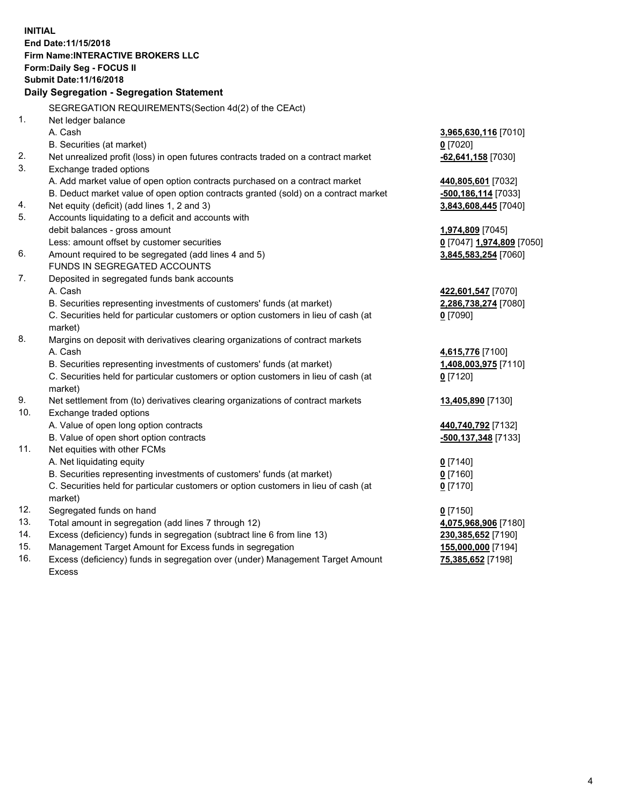**INITIAL End Date:11/15/2018 Firm Name:INTERACTIVE BROKERS LLC Form:Daily Seg - FOCUS II Submit Date:11/16/2018 Daily Segregation - Segregation Statement** SEGREGATION REQUIREMENTS(Section 4d(2) of the CEAct) 1. Net ledger balance A. Cash **3,965,630,116** [7010] B. Securities (at market) **0** [7020] 2. Net unrealized profit (loss) in open futures contracts traded on a contract market **-62,641,158** [7030] 3. Exchange traded options A. Add market value of open option contracts purchased on a contract market **440,805,601** [7032] B. Deduct market value of open option contracts granted (sold) on a contract market **-500,186,114** [7033] 4. Net equity (deficit) (add lines 1, 2 and 3) **3,843,608,445** [7040] 5. Accounts liquidating to a deficit and accounts with debit balances - gross amount **1,974,809** [7045] Less: amount offset by customer securities **0** [7047] **1,974,809** [7050] 6. Amount required to be segregated (add lines 4 and 5) **3,845,583,254** [7060] FUNDS IN SEGREGATED ACCOUNTS 7. Deposited in segregated funds bank accounts A. Cash **422,601,547** [7070] B. Securities representing investments of customers' funds (at market) **2,286,738,274** [7080] C. Securities held for particular customers or option customers in lieu of cash (at market) **0** [7090] 8. Margins on deposit with derivatives clearing organizations of contract markets A. Cash **4,615,776** [7100] B. Securities representing investments of customers' funds (at market) **1,408,003,975** [7110] C. Securities held for particular customers or option customers in lieu of cash (at market) **0** [7120] 9. Net settlement from (to) derivatives clearing organizations of contract markets **13,405,890** [7130] 10. Exchange traded options A. Value of open long option contracts **440,740,792** [7132] B. Value of open short option contracts **-500,137,348** [7133] 11. Net equities with other FCMs A. Net liquidating equity **0** [7140] B. Securities representing investments of customers' funds (at market) **0** [7160] C. Securities held for particular customers or option customers in lieu of cash (at market) **0** [7170] 12. Segregated funds on hand **0** [7150] 13. Total amount in segregation (add lines 7 through 12) **4,075,968,906** [7180] 14. Excess (deficiency) funds in segregation (subtract line 6 from line 13) **230,385,652** [7190] 15. Management Target Amount for Excess funds in segregation **155,000,000** [7194] **75,385,652** [7198]

16. Excess (deficiency) funds in segregation over (under) Management Target Amount Excess